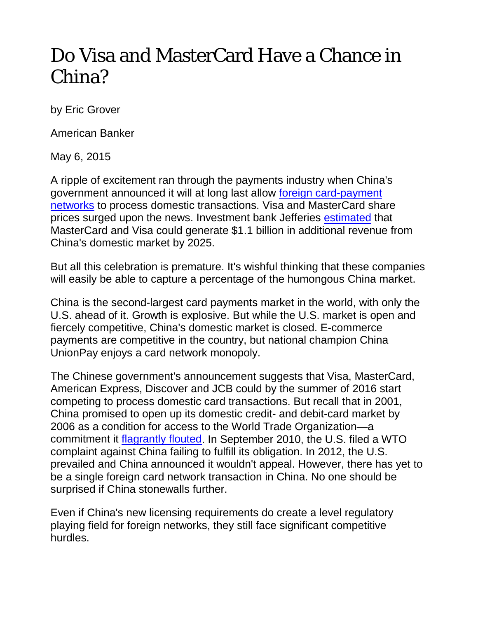## Do Visa and MasterCard Have a Chance in China?

by Eric Grover

American Banker

May 6, 2015

A ripple of excitement ran through the payments industry when China's government announced it will at long last allow [foreign card-payment](http://www.wsj.com/articles/china-to-open-domestic-bank-card-clearing-to-private-investors-1414582842)  [networks](http://www.wsj.com/articles/china-to-open-domestic-bank-card-clearing-to-private-investors-1414582842) to process domestic transactions. Visa and MasterCard share prices surged upon the news. Investment bank Jefferies [estimated](https://javatar.bluematrix.com/docs/pdf/906edfe2-974d-457b-bb39-06ae7e318731.pdf) that MasterCard and Visa could generate \$1.1 billion in additional revenue from China's domestic market by 2025.

But all this celebration is premature. It's wishful thinking that these companies will easily be able to capture a percentage of the humongous China market.

China is the second-largest card payments market in the world, with only the U.S. ahead of it. Growth is explosive. But while the U.S. market is open and fiercely competitive, China's domestic market is closed. E-commerce payments are competitive in the country, but national champion China UnionPay enjoys a card network monopoly.

The Chinese government's announcement suggests that Visa, MasterCard, American Express, Discover and JCB could by the summer of 2016 start competing to process domestic card transactions. But recall that in 2001, China promised to open up its domestic credit- and debit-card market by 2006 as a condition for access to the World Trade Organization—a commitment it [flagrantly flouted.](http://www.americanbanker.com/issues/175_75/press-china-keep-promises-1017936-1.html) In September 2010, the U.S. filed a WTO complaint against China failing to fulfill its obligation. In 2012, the U.S. prevailed and China announced it wouldn't appeal. However, there has yet to be a single foreign card network transaction in China. No one should be surprised if China stonewalls further.

Even if China's new licensing requirements do create a level regulatory playing field for foreign networks, they still face significant competitive hurdles.